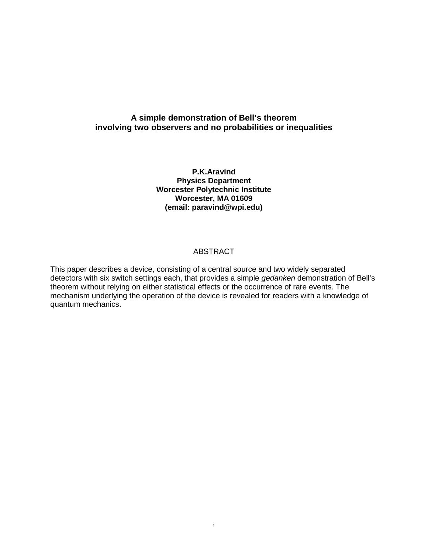# **A simple demonstration of Bell's theorem involving two observers and no probabilities or inequalities**

**P.K.Aravind Physics Department Worcester Polytechnic Institute Worcester, MA 01609 (email: paravind@wpi.edu)** 

#### **ABSTRACT**

This paper describes a device, consisting of a central source and two widely separated detectors with six switch settings each, that provides a simple *gedanken* demonstration of Bell's theorem without relying on either statistical effects or the occurrence of rare events. The mechanism underlying the operation of the device is revealed for readers with a knowledge of quantum mechanics.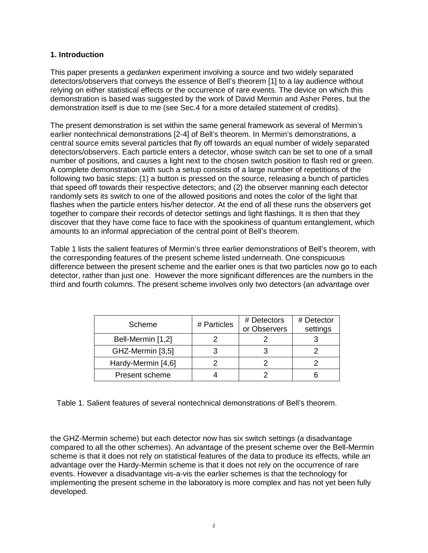## **1. Introduction**

This paper presents a *gedanken* experiment involving a source and two widely separated detectors/observers that conveys the essence of Bell's theorem [1] to a lay audience without relying on either statistical effects or the occurrence of rare events. The device on which this demonstration is based was suggested by the work of David Mermin and Asher Peres, but the demonstration itself is due to me (see Sec.4 for a more detailed statement of credits).

The present demonstration is set within the same general framework as several of Mermin's earlier nontechnical demonstrations [2-4] of Bell's theorem. In Mermin's demonstrations, a central source emits several particles that fly off towards an equal number of widely separated detectors/observers. Each particle enters a detector, whose switch can be set to one of a small number of positions, and causes a light next to the chosen switch position to flash red or green. A complete demonstration with such a setup consists of a large number of repetitions of the following two basic steps: (1) a button is pressed on the source, releasing a bunch of particles that speed off towards their respective detectors; and (2) the observer manning each detector randomly sets its switch to one of the allowed positions and notes the color of the light that flashes when the particle enters his/her detector. At the end of all these runs the observers get together to compare their records of detector settings and light flashings. It is then that they discover that they have come face to face with the spookiness of quantum entanglement, which amounts to an informal appreciation of the central point of Bell's theorem.

Table 1 lists the salient features of Mermin's three earlier demonstrations of Bell's theorem, with the corresponding features of the present scheme listed underneath. One conspicuous difference between the present scheme and the earlier ones is that two particles now go to each detector, rather than just one. However the more significant differences are the numbers in the third and fourth columns. The present scheme involves only two detectors (an advantage over

| Scheme             | # Particles | # Detectors<br>or Observers | # Detector<br>settings |
|--------------------|-------------|-----------------------------|------------------------|
| Bell-Mermin [1,2]  |             |                             |                        |
| GHZ-Mermin [3,5]   |             |                             |                        |
| Hardy-Mermin [4,6] |             |                             |                        |
| Present scheme     |             |                             |                        |

Table 1. Salient features of several nontechnical demonstrations of Bell's theorem.

the GHZ-Mermin scheme) but each detector now has six switch settings (a disadvantage compared to all the other schemes). An advantage of the present scheme over the Bell-Mermin scheme is that it does not rely on statistical features of the data to produce its effects, while an advantage over the Hardy-Mermin scheme is that it does not rely on the occurrence of rare events. However a disadvantage vis-a-vis the earlier schemes is that the technology for implementing the present scheme in the laboratory is more complex and has not yet been fully developed.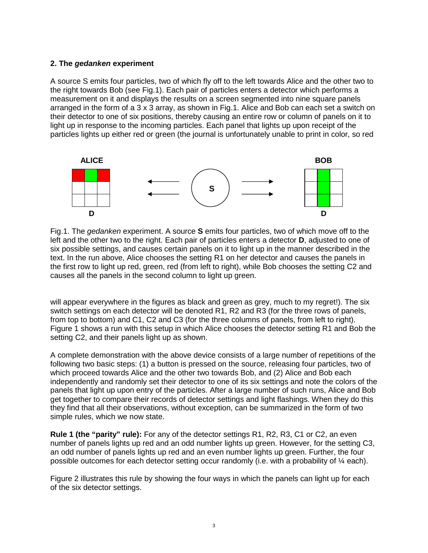#### **2. The** *gedanken* **experiment**

A source S emits four particles, two of which fly off to the left towards Alice and the other two to the right towards Bob (see Fig.1). Each pair of particles enters a detector which performs a measurement on it and displays the results on a screen segmented into nine square panels arranged in the form of a 3 x 3 array, as shown in Fig.1. Alice and Bob can each set a switch on their detector to one of six positions, thereby causing an entire row or column of panels on it to light up in response to the incoming particles. Each panel that lights up upon receipt of the particles lights up either red or green (the journal is unfortunately unable to print in color, so red



Fig.1. The *gedanken* experiment. A source **S** emits four particles, two of which move off to the left and the other two to the right. Each pair of particles enters a detector **D**, adjusted to one of six possible settings, and causes certain panels on it to light up in the manner described in the text. In the run above, Alice chooses the setting R1 on her detector and causes the panels in the first row to light up red, green, red (from left to right), while Bob chooses the setting C2 and causes all the panels in the second column to light up green.

will appear everywhere in the figures as black and green as grey, much to my regret!). The six switch settings on each detector will be denoted R1, R2 and R3 (for the three rows of panels, from top to bottom) and C1, C2 and C3 (for the three columns of panels, from left to right). Figure 1 shows a run with this setup in which Alice chooses the detector setting R1 and Bob the setting C2, and their panels light up as shown.

A complete demonstration with the above device consists of a large number of repetitions of the following two basic steps: (1) a button is pressed on the source, releasing four particles, two of which proceed towards Alice and the other two towards Bob, and (2) Alice and Bob each independently and randomly set their detector to one of its six settings and note the colors of the panels that light up upon entry of the particles. After a large number of such runs, Alice and Bob get together to compare their records of detector settings and light flashings. When they do this they find that all their observations, without exception, can be summarized in the form of two simple rules, which we now state.

**Rule 1 (the "parity" rule):** For any of the detector settings R1, R2, R3, C1 or C2, an even number of panels lights up red and an odd number lights up green. However, for the setting C3, an odd number of panels lights up red and an even number lights up green. Further, the four possible outcomes for each detector setting occur randomly (i.e. with a probability of ¼ each).

Figure 2 illustrates this rule by showing the four ways in which the panels can light up for each of the six detector settings.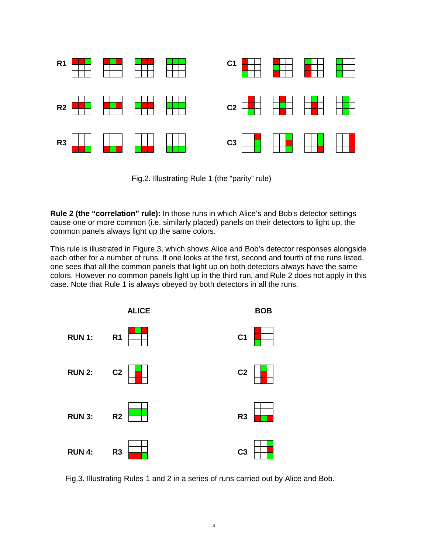

Fig.2. Illustrating Rule 1 (the "parity" rule)

**Rule 2 (the "correlation" rule):** In those runs in which Alice's and Bob's detector settings cause one or more common (i.e. similarly placed) panels on their detectors to light up, the common panels always light up the same colors.

This rule is illustrated in Figure 3, which shows Alice and Bob's detector responses alongside each other for a number of runs. If one looks at the first, second and fourth of the runs listed, one sees that all the common panels that light up on both detectors always have the same colors. However no common panels light up in the third run, and Rule 2 does not apply in this case. Note that Rule 1 is always obeyed by both detectors in all the runs.



Fig.3. Illustrating Rules 1 and 2 in a series of runs carried out by Alice and Bob.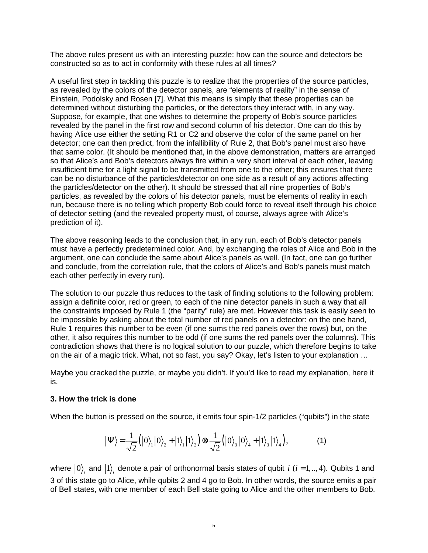The above rules present us with an interesting puzzle: how can the source and detectors be constructed so as to act in conformity with these rules at all times?

A useful first step in tackling this puzzle is to realize that the properties of the source particles, as revealed by the colors of the detector panels, are "elements of reality" in the sense of Einstein, Podolsky and Rosen [7]. What this means is simply that these properties can be determined without disturbing the particles, or the detectors they interact with, in any way. Suppose, for example, that one wishes to determine the property of Bob's source particles revealed by the panel in the first row and second column of his detector. One can do this by having Alice use either the setting R1 or C2 and observe the color of the same panel on her detector; one can then predict, from the infallibility of Rule 2, that Bob's panel must also have that same color. (It should be mentioned that, in the above demonstration, matters are arranged so that Alice's and Bob's detectors always fire within a very short interval of each other, leaving insufficient time for a light signal to be transmitted from one to the other; this ensures that there can be no disturbance of the particles/detector on one side as a result of any actions affecting the particles/detector on the other). It should be stressed that all nine properties of Bob's particles, as revealed by the colors of his detector panels, must be elements of reality in each run, because there is no telling which property Bob could force to reveal itself through his choice of detector setting (and the revealed property must, of course, always agree with Alice's prediction of it).

The above reasoning leads to the conclusion that, in any run, each of Bob's detector panels must have a perfectly predetermined color. And, by exchanging the roles of Alice and Bob in the argument, one can conclude the same about Alice's panels as well. (In fact, one can go further and conclude, from the correlation rule, that the colors of Alice's and Bob's panels must match each other perfectly in every run).

The solution to our puzzle thus reduces to the task of finding solutions to the following problem: assign a definite color, red or green, to each of the nine detector panels in such a way that all the constraints imposed by Rule 1 (the "parity" rule) are met. However this task is easily seen to be impossible by asking about the total number of red panels on a detector: on the one hand, Rule 1 requires this number to be even (if one sums the red panels over the rows) but, on the other, it also requires this number to be odd (if one sums the red panels over the columns). This contradiction shows that there is no logical solution to our puzzle, which therefore begins to take on the air of a magic trick. What, not so fast, you say? Okay, let's listen to your explanation …

Maybe you cracked the puzzle, or maybe you didn't. If you'd like to read my explanation, here it is.

### **3. How the trick is done**

When the button is pressed on the source, it emits four spin-1/2 particles ("qubits") in the state

$$
\left|\Psi\right\rangle = \frac{1}{\sqrt{2}}\left(\left|0\right\rangle_{1}\left|0\right\rangle_{2} + \left|1\right\rangle_{1}\left|1\right\rangle_{2}\right) \otimes \frac{1}{\sqrt{2}}\left(\left|0\right\rangle_{3}\left|0\right\rangle_{4} + \left|1\right\rangle_{3}\left|1\right\rangle_{4}\right),\tag{1}
$$

where  $\ket{0}_i$  and  $\ket{1}_i$  denote a pair of orthonormal basis states of qubit  $i$   $(i$  =1,..,4). Qubits 1 and 3 of this state go to Alice, while qubits 2 and 4 go to Bob. In other words, the source emits a pair of Bell states, with one member of each Bell state going to Alice and the other members to Bob.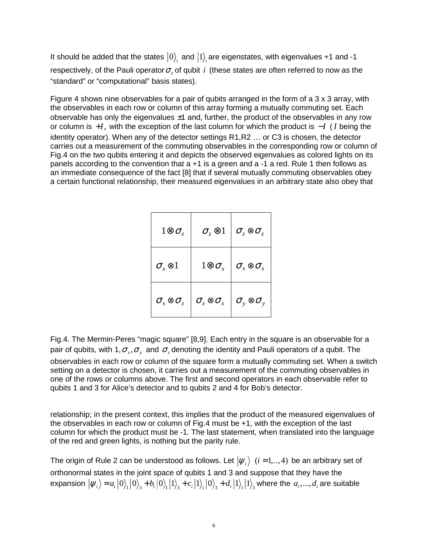It should be added that the states  $\ket{0}_i$  and  $\ket{1}_i$  are eigenstates, with eigenvalues +1 and -1 respectively, of the Pauli operator  $\sigma_z$  of qubit *i* (these states are often referred to now as the "standard" or "computational" basis states).

Figure 4 shows nine observables for a pair of qubits arranged in the form of a 3 x 3 array, with the observables in each row or column of this array forming a mutually commuting set. Each observable has only the eigenvalues  $\pm 1$  and, further, the product of the observables in any row or column is +*I*, with the exception of the last column for which the product is −*I* ( *I* being the identity operator). When any of the detector settings R1,R2 … or C3 is chosen, the detector carries out a measurement of the commuting observables in the corresponding row or column of Fig.4 on the two qubits entering it and depicts the observed eigenvalues as colored lights on its panels according to the convention that a +1 is a green and a -1 a red. Rule 1 then follows as an immediate consequence of the fact [8] that if several mutually commuting observables obey a certain functional relationship, their measured eigenvalues in an arbitrary state also obey that

| $1 \otimes \sigma_z$                    | $\sigma_z\otimes\!1$                      | $\sigma_z\otimes\sigma_z$             |
|-----------------------------------------|-------------------------------------------|---------------------------------------|
| $\sigma_{\rm x} \otimes 1$              | $1 \otimes \sigma_{\scriptscriptstyle x}$ | $\sigma_{\rm x}\otimes\sigma_{\rm x}$ |
| $\sigma_{\rm x} \otimes \sigma_{\rm z}$ | $\sigma_z\otimes\sigma_x$                 | $\sigma_{y}\otimes\sigma_{y}$         |

Fig.4. The Mermin-Peres "magic square" [8,9]. Each entry in the square is an observable for a pair of qubits, with 1,  $\sigma_x, \sigma_y$  and  $\sigma_z$  denoting the identity and Pauli operators of a qubit. The

observables in each row or column of the square form a mutually commuting set. When a switch setting on a detector is chosen, it carries out a measurement of the commuting observables in one of the rows or columns above. The first and second operators in each observable refer to qubits 1 and 3 for Alice's detector and to qubits 2 and 4 for Bob's detector.

relationship; in the present context, this implies that the product of the measured eigenvalues of the observables in each row or column of Fig.4 must be +1, with the exception of the last column for which the product must be -1. The last statement, when translated into the language of the red and green lights, is nothing but the parity rule.

The origin of Rule 2 can be understood as follows. Let  $|\psi_i\rangle$   $(i = 1,..,4)$  be an arbitrary set of orthonormal states in the joint space of qubits 1 and 3 and suppose that they have the expansion  $|\psi_i\rangle = a_i |0\rangle_1 |0\rangle_3 + b_i |0\rangle_1 |1\rangle_3 + c_i |1\rangle_1 |0\rangle_3 + d_i |1\rangle_1 |1\rangle_3$  where the  $a_i, ..., d_i$  are suitable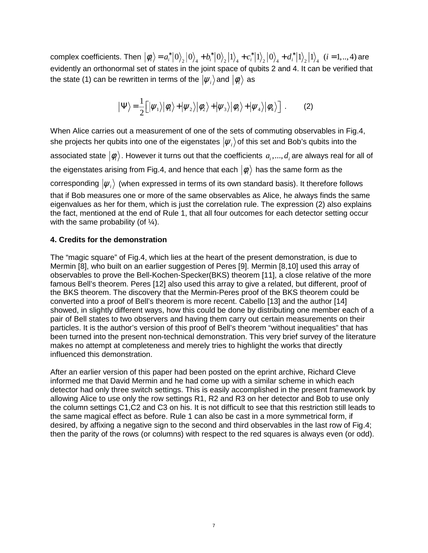complex coefficients. Then  $|\phi_i\rangle = a_i^* |0\rangle_2 |0\rangle_4 + b_i^* |0\rangle_2 |1\rangle_4 + c_i^* |1\rangle_2 |0\rangle_4 + d_i^* |1\rangle_2 |1\rangle_4$  (*i* = 1,.., 4) are evidently an orthonormal set of states in the joint space of qubits 2 and 4. It can be verified that the state (1) can be rewritten in terms of the  $|\psi_i\rangle$  and  $|\phi_i\rangle$  as

$$
|\Psi\rangle = \frac{1}{2} \Big[ |\psi_1\rangle |\phi_1\rangle + |\psi_2\rangle |\phi_2\rangle + |\psi_3\rangle |\phi_3\rangle + |\psi_4\rangle |\phi_4\rangle \Big] . \tag{2}
$$

When Alice carries out a measurement of one of the sets of commuting observables in Fig.4, she projects her qubits into one of the eigenstates  $|\psi_i\rangle$  of this set and Bob's qubits into the associated state  $|\phi_i\rangle$ . However it turns out that the coefficients  $a_1, ..., d_i$  are always real for all of the eigenstates arising from Fig.4, and hence that each  $|\phi_i\rangle$  has the same form as the corresponding  $|\psi_i\rangle$  (when expressed in terms of its own standard basis). It therefore follows that if Bob measures one or more of the same observables as Alice, he always finds the same eigenvalues as her for them, which is just the correlation rule. The expression (2) also explains the fact, mentioned at the end of Rule 1, that all four outcomes for each detector setting occur with the same probability (of  $\frac{1}{4}$ ).

#### **4. Credits for the demonstration**

The "magic square" of Fig.4, which lies at the heart of the present demonstration, is due to Mermin [8], who built on an earlier suggestion of Peres [9]. Mermin [8,10] used this array of observables to prove the Bell-Kochen-Specker(BKS) theorem [11], a close relative of the more famous Bell's theorem. Peres [12] also used this array to give a related, but different, proof of the BKS theorem. The discovery that the Mermin-Peres proof of the BKS theorem could be converted into a proof of Bell's theorem is more recent. Cabello [13] and the author [14] showed, in slightly different ways, how this could be done by distributing one member each of a pair of Bell states to two observers and having them carry out certain measurements on their particles. It is the author's version of this proof of Bell's theorem "without inequalities" that has been turned into the present non-technical demonstration. This very brief survey of the literature makes no attempt at completeness and merely tries to highlight the works that directly influenced this demonstration.

After an earlier version of this paper had been posted on the eprint archive, Richard Cleve informed me that David Mermin and he had come up with a similar scheme in which each detector had only three switch settings. This is easily accomplished in the present framework by allowing Alice to use only the row settings R1, R2 and R3 on her detector and Bob to use only the column settings C1,C2 and C3 on his. It is not difficult to see that this restriction still leads to the same magical effect as before. Rule 1 can also be cast in a more symmetrical form, if desired, by affixing a negative sign to the second and third observables in the last row of Fig.4; then the parity of the rows (or columns) with respect to the red squares is always even (or odd).